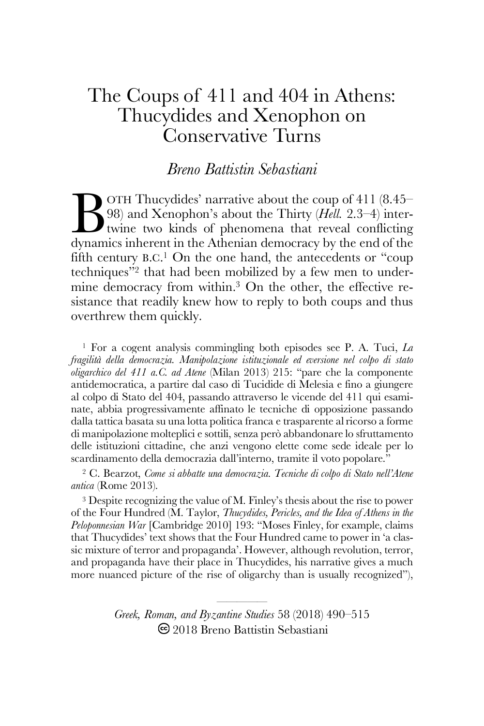# The Coups of 411 and 404 in Athens: Thucydides and Xenophon on Conservative Turns

*Breno Battistin Sebastiani*

OTH Thucydides' narrative about the coup of 411 (8.45– 98) and Xenophon's about the Thirty (*Hell.* 2.3–4) intertwine two kinds of phenomena that reveal conflicting dynamics inherent in the Athenian democracy by the end of the fifth century B.C.<sup>1</sup> On the one hand, the antecedents or "coup techniques"2 that had been mobilized by a few men to undermine democracy from within. <sup>3</sup> On the other, the effective resistance that readily knew how to reply to both coups and thus overthrew them quickly. B<sub>dynam</sub>

<sup>1</sup> For a cogent analysis commingling both episodes see P. A. Tuci, *La fragilità della democrazia. Manipolazione istituzionale ed eversione nel colpo di stato oligarchico del 411 a.C. ad Atene* (Milan 2013) 215: "pare che la componente antidemocratica, a partire dal caso di Tucidide di Melesia e fino a giungere al colpo di Stato del 404, passando attraverso le vicende del 411 qui esaminate, abbia progressivamente affinato le tecniche di opposizione passando dalla tattica basata su una lotta politica franca e trasparente al ricorso a forme di manipolazione molteplici e sottili, senza però abbandonare lo sfruttamento delle istituzioni cittadine, che anzi vengono elette come sede ideale per lo scardinamento della democrazia dall'interno, tramite il voto popolare."

<sup>2</sup> C. Bearzot, *Come si abbatte una democrazia. Tecniche di colpo di Stato nell'Atene antica* (Rome 2013).

<sup>3</sup> Despite recognizing the value of M. Finley's thesis about the rise to power of the Four Hundred (M. Taylor, *Thucydides, Pericles, and the Idea of Athens in the Peloponnesian War* [Cambridge 2010] 193: "Moses Finley, for example, claims that Thucydides' text shows that the Four Hundred came to power in 'a classic mixture of terror and propaganda'. However, although revolution, terror, and propaganda have their place in Thucydides, his narrative gives a much more nuanced picture of the rise of oligarchy than is usually recognized"),

> ————— *Greek, Roman, and Byzantine Studies* 58 (2018) 490–515 2018 Breno Battistin Sebastiani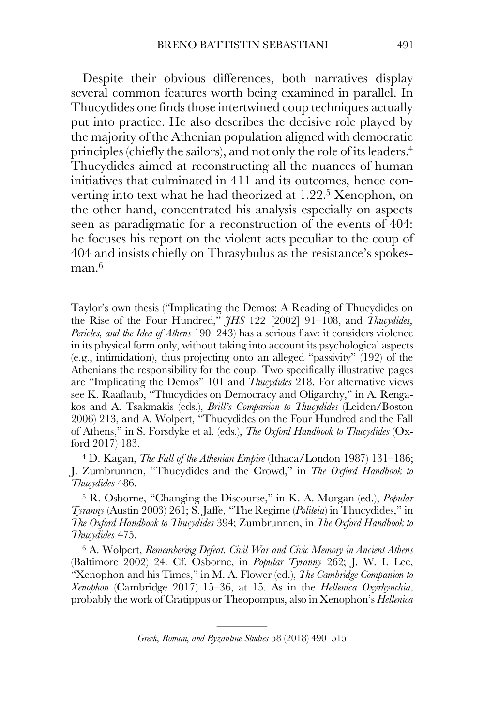Despite their obvious differences, both narratives display several common features worth being examined in parallel. In Thucydides one finds those intertwined coup techniques actually put into practice. He also describes the decisive role played by the majority of the Athenian population aligned with democratic principles (chiefly the sailors), and not only the role of its leaders. 4 Thucydides aimed at reconstructing all the nuances of human initiatives that culminated in 411 and its outcomes, hence converting into text what he had theorized at 1.22.<sup>5</sup> Xenophon, on the other hand, concentrated his analysis especially on aspects seen as paradigmatic for a reconstruction of the events of 404: he focuses his report on the violent acts peculiar to the coup of 404 and insists chiefly on Thrasybulus as the resistance's spokesman. $^6\,$ 

Taylor's own thesis ("Implicating the Demos: A Reading of Thucydides on the Rise of the Four Hundred," *JHS* 122 [2002] 91–108, and *Thucydides, Pericles, and the Idea of Athens* 190–243) has a serious flaw: it considers violence in its physical form only, without taking into account its psychological aspects (e.g., intimidation), thus projecting onto an alleged "passivity" (192) of the Athenians the responsibility for the coup. Two specifically illustrative pages are "Implicating the Demos" 101 and *Thucydides* 218. For alternative views see K. Raaflaub, "Thucydides on Democracy and Oligarchy," in A. Rengakos and A. Tsakmakis (eds.), *Brill's Companion to Thucydides* (Leiden/Boston 2006) 213, and A. Wolpert, "Thucydides on the Four Hundred and the Fall of Athens," in S. Forsdyke et al. (eds.), *The Oxford Handbook to Thucydides* (Oxford 2017) 183.

<sup>4</sup> D. Kagan, *The Fall of the Athenian Empire* (Ithaca/London 1987) 131–186; J. Zumbrunnen, "Thucydides and the Crowd," in *The Oxford Handbook to Thucydides* 486.

<sup>5</sup> R. Osborne, "Changing the Discourse," in K. A. Morgan (ed.), *Popular Tyranny* (Austin 2003) 261; S. Jaffe, "The Regime (*Politeia*) in Thucydides," in *The Oxford Handbook to Thucydides* 394; Zumbrunnen, in *The Oxford Handbook to Thucydides* 475.

<sup>6</sup> A. Wolpert, *Remembering Defeat. Civil War and Civic Memory in Ancient Athens*  (Baltimore 2002) 24. Cf. Osborne, in *Popular Tyranny* 262; J. W. I. Lee, "Xenophon and his Times," in M. A. Flower (ed.), *The Cambridge Companion to Xenophon* (Cambridge 2017) 15–36, at 15. As in the *Hellenica Oxyrhynchia*, probably the work of Cratippus or Theopompus, also in Xenophon's *Hellenica*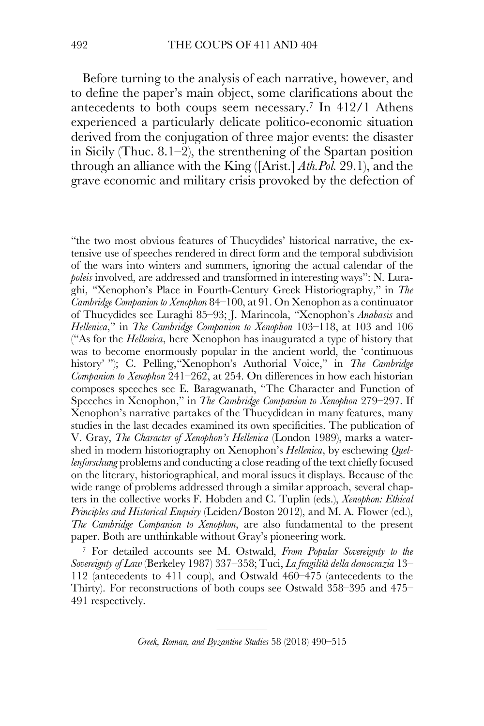Before turning to the analysis of each narrative, however, and to define the paper's main object, some clarifications about the antecedents to both coups seem necessary. <sup>7</sup> In 412/1 Athens experienced a particularly delicate politico-economic situation derived from the conjugation of three major events: the disaster in Sicily (Thuc. 8.1–2), the strenthening of the Spartan position through an alliance with the King ([Arist.] *Ath.Pol.* 29.1), and the grave economic and military crisis provoked by the defection of

"the two most obvious features of Thucydides' historical narrative, the extensive use of speeches rendered in direct form and the temporal subdivision of the wars into winters and summers, ignoring the actual calendar of the *poleis* involved, are addressed and transformed in interesting ways": N. Luraghi, "Xenophon's Place in Fourth-Century Greek Historiography," in *The Cambridge Companion to Xenophon* 84–100, at 91. On Xenophon as a continuator of Thucydides see Luraghi 85–93; J. Marincola, "Xenophon's *Anabasis* and *Hellenica*," in *The Cambridge Companion to Xenophon* 103–118, at 103 and 106 ("As for the *Hellenica*, here Xenophon has inaugurated a type of history that was to become enormously popular in the ancient world, the 'continuous history' "); C. Pelling,"Xenophon's Authorial Voice," in *The Cambridge Companion to Xenophon* 241–262, at 254. On differences in how each historian composes speeches see E. Baragwanath, "The Character and Function of Speeches in Xenophon," in *The Cambridge Companion to Xenophon* 279–297. If Xenophon's narrative partakes of the Thucydidean in many features, many studies in the last decades examined its own specificities. The publication of V. Gray, *The Character of Xenophon's Hellenica* (London 1989), marks a watershed in modern historiography on Xenophon's *Hellenica*, by eschewing *Quellenforschung* problems and conducting a close reading of the text chiefly focused on the literary, historiographical, and moral issues it displays. Because of the wide range of problems addressed through a similar approach, several chapters in the collective works F. Hobden and C. Tuplin (eds.), *Xenophon: Ethical Principles and Historical Enquiry* (Leiden/Boston 2012), and M. A. Flower (ed.), *The Cambridge Companion to Xenophon*, are also fundamental to the present paper. Both are unthinkable without Gray's pioneering work.

<sup>7</sup> For detailed accounts see M. Ostwald, *From Popular Sovereignty to the Sovereignty of Law* (Berkeley 1987) 337–358; Tuci, *La fragilità della democrazia* 13– 112 (antecedents to 411 coup), and Ostwald 460–475 (antecedents to the Thirty). For reconstructions of both coups see Ostwald 358–395 and 475– 491 respectively.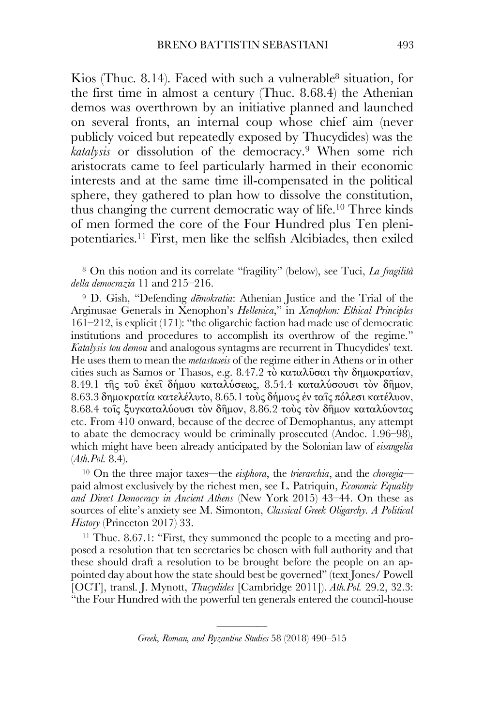Kios (Thuc. 8.14). Faced with such a vulnerable8 situation, for the first time in almost a century (Thuc. 8.68.4) the Athenian demos was overthrown by an initiative planned and launched on several fronts, an internal coup whose chief aim (never publicly voiced but repeatedly exposed by Thucydides) was the *katalysis* or dissolution of the democracy.9 When some rich aristocrats came to feel particularly harmed in their economic interests and at the same time ill-compensated in the political sphere, they gathered to plan how to dissolve the constitution, thus changing the current democratic way of life.10 Three kinds of men formed the core of the Four Hundred plus Ten plenipotentiaries.11 First, men like the selfish Alcibiades, then exiled

<sup>8</sup> On this notion and its correlate "fragility" (below), see Tuci, *La fragilità della democrazia* 11 and 215–216.

<sup>9</sup> D. Gish, "Defending *dēmokratia*: Athenian Justice and the Trial of the Arginusae Generals in Xenophon's *Hellenica*," in *Xenophon: Ethical Principles*  161–212, is explicit (171): "the oligarchic faction had made use of democratic institutions and procedures to accomplish its overthrow of the regime." *Katalysis tou demou* and analogous syntagms are recurrent in Thucydides' text. He uses them to mean the *metastaseis* of the regime either in Athens or in other cities such as Samos or Thasos, e.g. 8.47.2 τὸ καταλῦσαι τὴν δηµοκρατίαν, 8.49.1 τῆς τοῦ ἐκεῖ δήµου καταλύσεως, 8.54.4 καταλύσουσι τὸν δῆµον, 8.63.3 δηµοκρατία κατελέλυτο, 8.65.1 τοὺς δήµους ἐν ταῖς πόλεσι κατέλυον, 8.68.4 τοῖς ξυγκαταλύουσι τὸν δῆµον, 8.86.2 τοὺς τὸν δῆµον καταλύοντας etc. From 410 onward, because of the decree of Demophantus, any attempt to abate the democracy would be criminally prosecuted (Andoc. 1.96–98), which might have been already anticipated by the Solonian law of *eisangelia* (*Ath.Pol.* 8.4).

<sup>10</sup> On the three major taxes—the *eisphora*, the *trierarchia*, and the *choregia* paid almost exclusively by the richest men, see L. Patriquin, *Economic Equality and Direct Democracy in Ancient Athens* (New York 2015) 43–44. On these as sources of elite's anxiety see M. Simonton, *Classical Greek Oligarchy. A Political History* (Princeton 2017) 33.

<sup>11</sup> Thuc. 8.67.1: "First, they summoned the people to a meeting and proposed a resolution that ten secretaries be chosen with full authority and that these should draft a resolution to be brought before the people on an appointed day about how the state should best be governed" (text Jones/ Powell [OCT], transl. J. Mynott, *Thucydides* [Cambridge 2011]). *Ath.Pol.* 29.2, 32.3: "the Four Hundred with the powerful ten generals entered the council-house

<sup>—————</sup> *Greek, Roman, and Byzantine Studies* 58 (2018) 490–515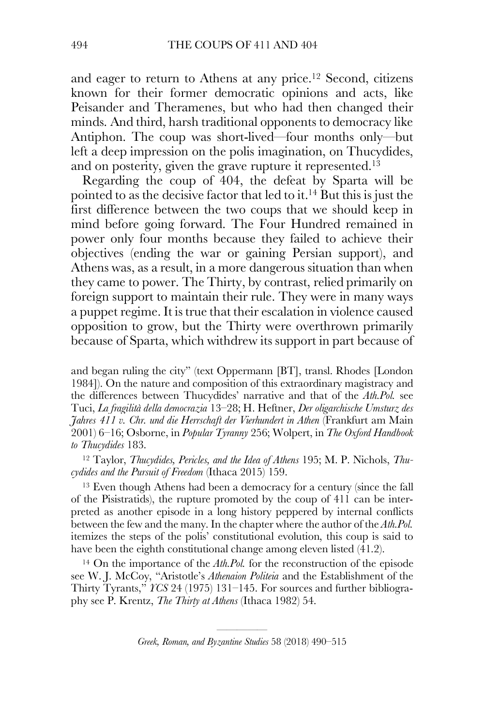and eager to return to Athens at any price.12 Second, citizens known for their former democratic opinions and acts, like Peisander and Theramenes, but who had then changed their minds. And third, harsh traditional opponents to democracy like Antiphon. The coup was short-lived—four months only—but left a deep impression on the polis imagination, on Thucydides, and on posterity, given the grave rupture it represented.13

Regarding the coup of 404, the defeat by Sparta will be pointed to as the decisive factor that led to it.14 But this is just the first difference between the two coups that we should keep in mind before going forward. The Four Hundred remained in power only four months because they failed to achieve their objectives (ending the war or gaining Persian support), and Athens was, as a result, in a more dangerous situation than when they came to power. The Thirty, by contrast, relied primarily on foreign support to maintain their rule. They were in many ways a puppet regime. It is true that their escalation in violence caused opposition to grow, but the Thirty were overthrown primarily because of Sparta, which withdrew its support in part because of

and began ruling the city" (text Oppermann [BT], transl. Rhodes [London 1984]). On the nature and composition of this extraordinary magistracy and the differences between Thucydides' narrative and that of the *Ath.Pol.* see Tuci, *La fragilità della democrazia* 13–28; H. Heftner, *Der oligarchische Umsturz des Jahres 411 v. Chr. und die Herrschaft der Vierhundert in Athen* (Frankfurt am Main 2001) 6–16; Osborne, in *Popular Tyranny* 256; Wolpert, in *The Oxford Handbook to Thucydides* 183.

<sup>12</sup> Taylor, *Thucydides, Pericles, and the Idea of Athens* 195; M. P. Nichols, *Thucydides and the Pursuit of Freedom* (Ithaca 2015) 159.

<sup>13</sup> Even though Athens had been a democracy for a century (since the fall of the Pisistratids), the rupture promoted by the coup of 411 can be interpreted as another episode in a long history peppered by internal conflicts between the few and the many. In the chapter where the author of the *Ath.Pol.* itemizes the steps of the polis' constitutional evolution, this coup is said to have been the eighth constitutional change among eleven listed (41.2).

<sup>14</sup> On the importance of the *Ath.Pol.* for the reconstruction of the episode see W. J. McCoy, "Aristotle's *Athenaion Politeia* and the Establishment of the Thirty Tyrants," *YCS* 24 (1975) 131–145. For sources and further bibliography see P. Krentz, *The Thirty at Athens* (Ithaca 1982) 54.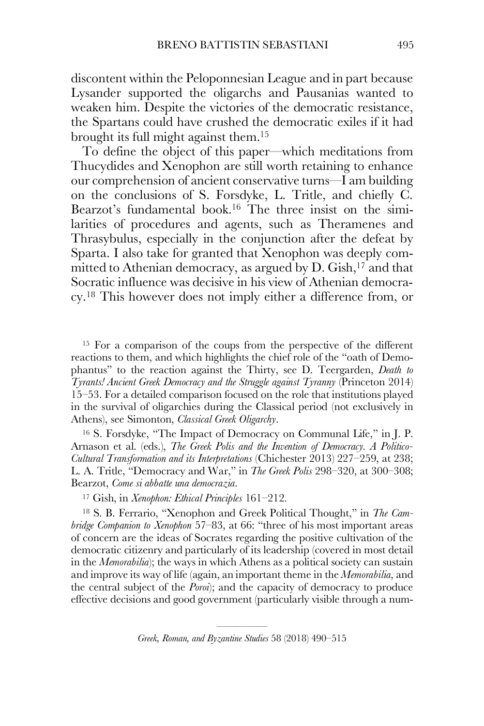discontent within the Peloponnesian League and in part because Lysander supported the oligarchs and Pausanias wanted to weaken him. Despite the victories of the democratic resistance, the Spartans could have crushed the democratic exiles if it had brought its full might against them.15

To define the object of this paper—which meditations from Thucydides and Xenophon are still worth retaining to enhance our comprehension of ancient conservative turns—I am building on the conclusions of S. Forsdyke, L. Tritle, and chiefly C. Bearzot's fundamental book.<sup>16</sup> The three insist on the similarities of procedures and agents, such as Theramenes and Thrasybulus, especially in the conjunction after the defeat by Sparta. I also take for granted that Xenophon was deeply committed to Athenian democracy, as argued by  $D$ . Gish,<sup>17</sup> and that Socratic influence was decisive in his view of Athenian democracy.18 This however does not imply either a difference from, or

<sup>15</sup> For a comparison of the coups from the perspective of the different reactions to them, and which highlights the chief role of the "oath of Demophantus" to the reaction against the Thirty, see D. Teergarden, *Death to Tyrants! Ancient Greek Democracy and the Struggle against Tyranny* (Princeton 2014) 15–53. For a detailed comparison focused on the role that institutions played in the survival of oligarchies during the Classical period (not exclusively in Athens), see Simonton, *Classical Greek Oligarchy*.

<sup>16</sup> S. Forsdyke, "The Impact of Democracy on Communal Life," in J. P. Arnason et al. (eds.), *The Greek Polis and the Invention of Democracy. A Politico-Cultural Transformation and its Interpretations* (Chichester 2013) 227–259, at 238; L. A. Tritle, "Democracy and War," in *The Greek Polis* 298–320, at 300–308; Bearzot, *Come si abbatte una democrazia*.

<sup>17</sup> Gish, in *Xenophon: Ethical Principles* 161–212.

<sup>18</sup> S. B. Ferrario, "Xenophon and Greek Political Thought," in *The Cambridge Companion to Xenophon* 57–83, at 66: "three of his most important areas of concern are the ideas of Socrates regarding the positive cultivation of the democratic citizenry and particularly of its leadership (covered in most detail in the *Memorabilia*); the ways in which Athens as a political society can sustain and improve its way of life (again, an important theme in the *Memorabilia*, and the central subject of the *Poroi*); and the capacity of democracy to produce effective decisions and good government (particularly visible through a num-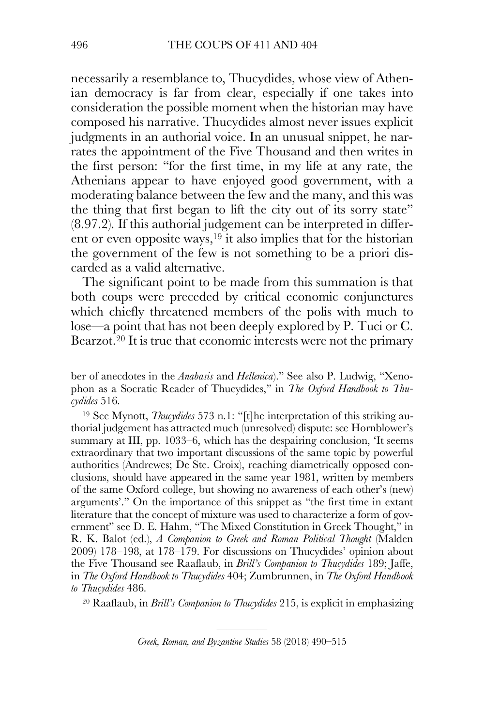necessarily a resemblance to, Thucydides, whose view of Athenian democracy is far from clear, especially if one takes into consideration the possible moment when the historian may have composed his narrative. Thucydides almost never issues explicit judgments in an authorial voice. In an unusual snippet, he narrates the appointment of the Five Thousand and then writes in the first person: "for the first time, in my life at any rate, the Athenians appear to have enjoyed good government, with a moderating balance between the few and the many, and this was the thing that first began to lift the city out of its sorry state" (8.97.2). If this authorial judgement can be interpreted in different or even opposite ways,  $19$  it also implies that for the historian the government of the few is not something to be a priori discarded as a valid alternative.

The significant point to be made from this summation is that both coups were preceded by critical economic conjunctures which chiefly threatened members of the polis with much to lose—a point that has not been deeply explored by P. Tuci or C. Bearzot.20 It is true that economic interests were not the primary

ber of anecdotes in the *Anabasis* and *Hellenica*)." See also P. Ludwig, "Xenophon as a Socratic Reader of Thucydides," in *The Oxford Handbook to Thucydides* 516.

<sup>19</sup> See Mynott, *Thucydides* 573 n.1: "[t]he interpretation of this striking authorial judgement has attracted much (unresolved) dispute: see Hornblower's summary at III, pp. 1033–6, which has the despairing conclusion, 'It seems extraordinary that two important discussions of the same topic by powerful authorities (Andrewes; De Ste. Croix), reaching diametrically opposed conclusions, should have appeared in the same year 1981, written by members of the same Oxford college, but showing no awareness of each other's (new) arguments'." On the importance of this snippet as "the first time in extant literature that the concept of mixture was used to characterize a form of government" see D. E. Hahm, "The Mixed Constitution in Greek Thought," in R. K. Balot (ed.), *A Companion to Greek and Roman Political Thought* (Malden 2009) 178–198, at 178–179. For discussions on Thucydides' opinion about the Five Thousand see Raaflaub, in *Brill's Companion to Thucydides* 189; Jaffe, in *The Oxford Handbook to Thucydides* 404; Zumbrunnen, in *The Oxford Handbook to Thucydides* 486.

<sup>20</sup> Raaflaub, in *Brill's Companion to Thucydides* 215, is explicit in emphasizing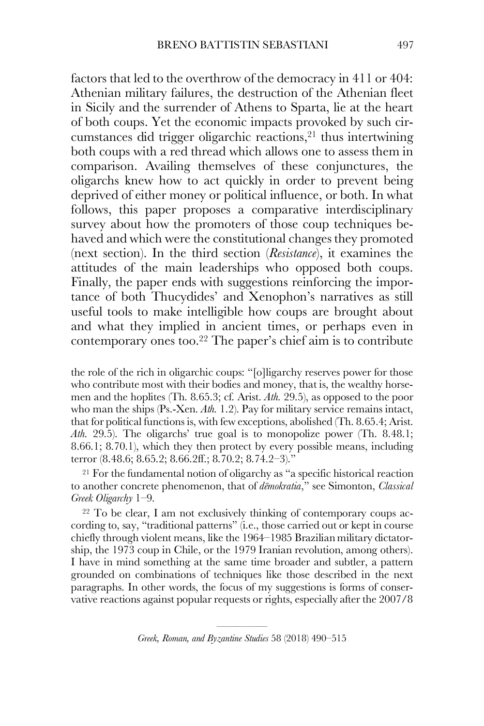factors that led to the overthrow of the democracy in 411 or 404: Athenian military failures, the destruction of the Athenian fleet in Sicily and the surrender of Athens to Sparta, lie at the heart of both coups. Yet the economic impacts provoked by such circumstances did trigger oligarchic reactions,21 thus intertwining both coups with a red thread which allows one to assess them in comparison. Availing themselves of these conjunctures, the oligarchs knew how to act quickly in order to prevent being deprived of either money or political influence, or both. In what follows, this paper proposes a comparative interdisciplinary survey about how the promoters of those coup techniques behaved and which were the constitutional changes they promoted (next section). In the third section (*Resistance*), it examines the attitudes of the main leaderships who opposed both coups. Finally, the paper ends with suggestions reinforcing the importance of both Thucydides' and Xenophon's narratives as still useful tools to make intelligible how coups are brought about and what they implied in ancient times, or perhaps even in contemporary ones too.22 The paper's chief aim is to contribute

the role of the rich in oligarchic coups: "[o]ligarchy reserves power for those who contribute most with their bodies and money, that is, the wealthy horsemen and the hoplites (Th. 8.65.3; cf. Arist. *Ath.* 29.5), as opposed to the poor who man the ships (Ps.-Xen. *Ath.* 1.2). Pay for military service remains intact, that for political functions is, with few exceptions, abolished (Th. 8.65.4; Arist. *Ath.* 29.5). The oligarchs' true goal is to monopolize power (Th. 8.48.1; 8.66.1; 8.70.1), which they then protect by every possible means, including terror (8.48.6; 8.65.2; 8.66.2ff.; 8.70.2; 8.74.2–3)."

<sup>21</sup> For the fundamental notion of oligarchy as "a specific historical reaction to another concrete phenomenon, that of *dēmokratia*," see Simonton, *Classical Greek Oligarchy* 1–9.

<sup>22</sup> To be clear, I am not exclusively thinking of contemporary coups according to, say, "traditional patterns" (i.e., those carried out or kept in course chiefly through violent means, like the 1964–1985 Brazilian military dictatorship, the 1973 coup in Chile, or the 1979 Iranian revolution, among others). I have in mind something at the same time broader and subtler, a pattern grounded on combinations of techniques like those described in the next paragraphs. In other words, the focus of my suggestions is forms of conservative reactions against popular requests or rights, especially after the 2007/8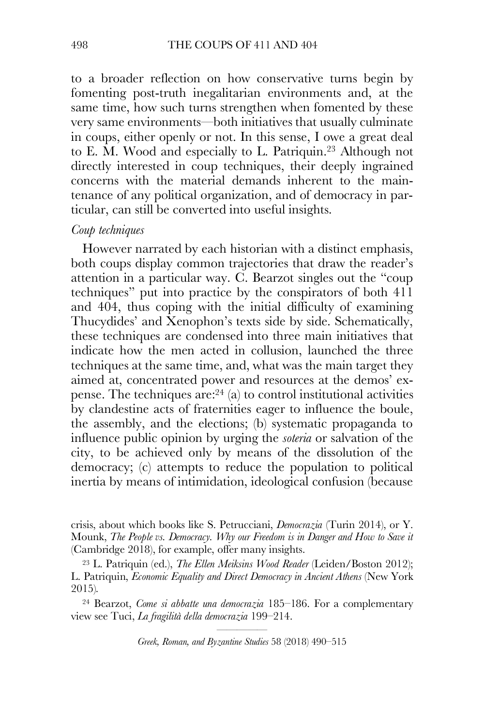to a broader reflection on how conservative turns begin by fomenting post-truth inegalitarian environments and, at the same time, how such turns strengthen when fomented by these very same environments—both initiatives that usually culminate in coups, either openly or not. In this sense, I owe a great deal to E. M. Wood and especially to L. Patriquin.23 Although not directly interested in coup techniques, their deeply ingrained concerns with the material demands inherent to the maintenance of any political organization, and of democracy in particular, can still be converted into useful insights.

## *Coup techniques*

However narrated by each historian with a distinct emphasis, both coups display common trajectories that draw the reader's attention in a particular way. C. Bearzot singles out the "coup techniques" put into practice by the conspirators of both 411 and 404, thus coping with the initial difficulty of examining Thucydides' and Xenophon's texts side by side. Schematically, these techniques are condensed into three main initiatives that indicate how the men acted in collusion, launched the three techniques at the same time, and, what was the main target they aimed at, concentrated power and resources at the demos' expense. The techniques  $\arctan{24}$  (a) to control institutional activities by clandestine acts of fraternities eager to influence the boule, the assembly, and the elections; (b) systematic propaganda to influence public opinion by urging the *soteria* or salvation of the city, to be achieved only by means of the dissolution of the democracy; (c) attempts to reduce the population to political inertia by means of intimidation, ideological confusion (because

crisis, about which books like S. Petrucciani, *Democrazia* (Turin 2014), or Y. Mounk, *The People vs. Democracy. Why our Freedom is in Danger and How to Save it*  (Cambridge 2018), for example, offer many insights.

<sup>23</sup> L. Patriquin (ed.), *The Ellen Meiksins Wood Reader* (Leiden/Boston 2012); L. Patriquin, *Economic Equality and Direct Democracy in Ancient Athens* (New York 2015)*.*

<sup>24</sup> Bearzot, *Come si abbatte una democrazia* 185–186. For a complementary view see Tuci, *La fragilità della democrazia* 199–214.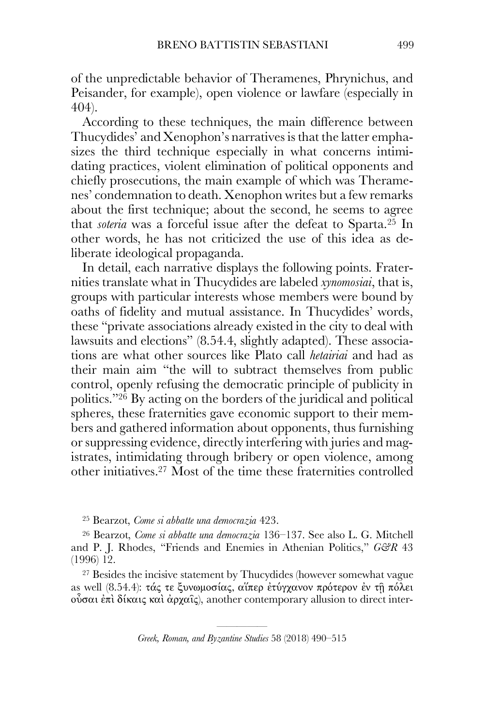of the unpredictable behavior of Theramenes, Phrynichus, and Peisander, for example), open violence or lawfare (especially in 404).

According to these techniques, the main difference between Thucydides' and Xenophon's narratives is that the latter emphasizes the third technique especially in what concerns intimidating practices, violent elimination of political opponents and chiefly prosecutions, the main example of which was Theramenes' condemnation to death. Xenophon writes but a few remarks about the first technique; about the second, he seems to agree that *soteria* was a forceful issue after the defeat to Sparta.25 In other words, he has not criticized the use of this idea as deliberate ideological propaganda.

In detail, each narrative displays the following points. Fraternities translate what in Thucydides are labeled *xynomosiai*, that is, groups with particular interests whose members were bound by oaths of fidelity and mutual assistance. In Thucydides' words, these "private associations already existed in the city to deal with lawsuits and elections" (8.54.4, slightly adapted). These associations are what other sources like Plato call *hetairiai* and had as their main aim "the will to subtract themselves from public control, openly refusing the democratic principle of publicity in politics."26 By acting on the borders of the juridical and political spheres, these fraternities gave economic support to their members and gathered information about opponents, thus furnishing or suppressing evidence, directly interfering with juries and magistrates, intimidating through bribery or open violence, among other initiatives.27 Most of the time these fraternities controlled

<sup>25</sup> Bearzot, *Come si abbatte una democrazia* 423.

<sup>26</sup> Bearzot, *Come si abbatte una democrazia* 136–137. See also L. G. Mitchell and P. J. Rhodes, "Friends and Enemies in Athenian Politics," *G&R* 43 (1996) 12.

<sup>27</sup> Besides the incisive statement by Thucydides (however somewhat vague as well (8.54.4): τάς τε ξυνωµοσίας, αἵπερ ἐτύγχανον πρότερον ἐν τῇ πόλει οὖσαι ἐπὶ δίκαις καὶ ἀρχαῖς), another contemporary allusion to direct inter-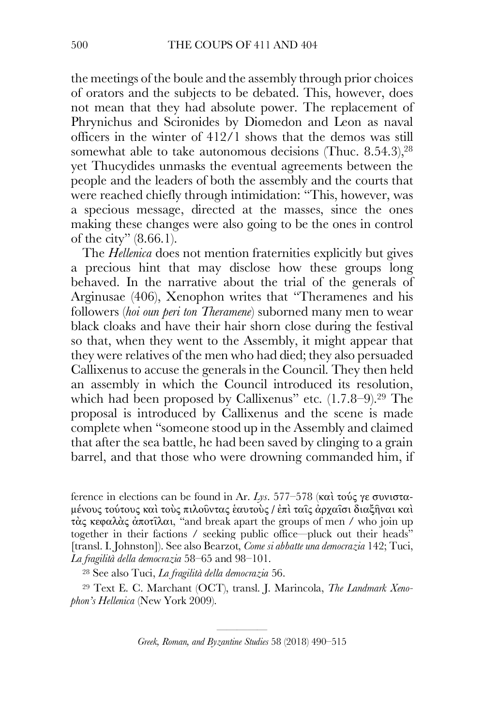the meetings of the boule and the assembly through prior choices of orators and the subjects to be debated. This, however, does not mean that they had absolute power. The replacement of Phrynichus and Scironides by Diomedon and Leon as naval officers in the winter of 412/1 shows that the demos was still somewhat able to take autonomous decisions (Thuc.  $8.54.3$ ), $28$ yet Thucydides unmasks the eventual agreements between the people and the leaders of both the assembly and the courts that were reached chiefly through intimidation: "This, however, was a specious message, directed at the masses, since the ones making these changes were also going to be the ones in control of the city" (8.66.1).

The *Hellenica* does not mention fraternities explicitly but gives a precious hint that may disclose how these groups long behaved. In the narrative about the trial of the generals of Arginusae (406), Xenophon writes that "Theramenes and his followers (*hoi oun peri ton Theramene*) suborned many men to wear black cloaks and have their hair shorn close during the festival so that, when they went to the Assembly, it might appear that they were relatives of the men who had died; they also persuaded Callixenus to accuse the generals in the Council. They then held an assembly in which the Council introduced its resolution, which had been proposed by Callixenus" etc.  $(1.7.8-9).^{29}$  The proposal is introduced by Callixenus and the scene is made complete when "someone stood up in the Assembly and claimed that after the sea battle, he had been saved by clinging to a grain barrel, and that those who were drowning commanded him, if

ference in elections can be found in Ar. *Lys*. 577–578 (καὶ τούς γε συνισταµένους τούτους καὶ τοὺς πιλοῦντας ἑαυτοὺς / ἐπὶ ταῖς ἀρχαῖσι διαξῆναι καὶ τὰς κεφαλὰς ἀποτῖλαι, "and break apart the groups of men / who join up together in their factions / seeking public office—pluck out their heads" [transl. I. Johnston]). See also Bearzot, *Come si abbatte una democrazia* 142; Tuci, *La fragilità della democrazia* 58–65 and 98–101.

<sup>28</sup> See also Tuci, *La fragilità della democrazia* 56.

<sup>29</sup> Text E. C. Marchant (OCT), transl. J. Marincola, *The Landmark Xenophon's Hellenica* (New York 2009).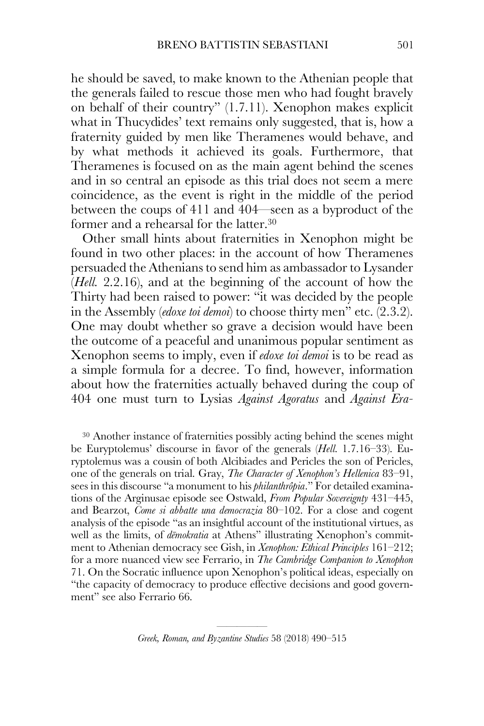he should be saved, to make known to the Athenian people that the generals failed to rescue those men who had fought bravely on behalf of their country" (1.7.11). Xenophon makes explicit what in Thucydides' text remains only suggested, that is, how a fraternity guided by men like Theramenes would behave, and by what methods it achieved its goals. Furthermore, that Theramenes is focused on as the main agent behind the scenes and in so central an episode as this trial does not seem a mere coincidence, as the event is right in the middle of the period between the coups of 411 and 404—seen as a byproduct of the former and a rehearsal for the latter.<sup>30</sup>

Other small hints about fraternities in Xenophon might be found in two other places: in the account of how Theramenes persuaded the Athenians to send him as ambassador to Lysander (*Hell.* 2.2.16), and at the beginning of the account of how the Thirty had been raised to power: "it was decided by the people in the Assembly (*edoxe toi demoi*) to choose thirty men" etc. (2.3.2). One may doubt whether so grave a decision would have been the outcome of a peaceful and unanimous popular sentiment as Xenophon seems to imply, even if *edoxe toi demoi* is to be read as a simple formula for a decree. To find, however, information about how the fraternities actually behaved during the coup of 404 one must turn to Lysias *Against Agoratus* and *Against Era-*

<sup>30</sup> Another instance of fraternities possibly acting behind the scenes might be Euryptolemus' discourse in favor of the generals (*Hell.* 1.7.16–33). Euryptolemus was a cousin of both Alcibiades and Pericles the son of Pericles, one of the generals on trial. Gray, *The Character of Xenophon's Hellenica* 83–91, sees in this discourse "a monument to his *philanthrôpia*." For detailed examinations of the Arginusae episode see Ostwald, *From Popular Sovereignty* 431–445, and Bearzot, *Come si abbatte una democrazia* 80–102. For a close and cogent analysis of the episode "as an insightful account of the institutional virtues, as well as the limits, of *dēmokratia* at Athens" illustrating Xenophon's commitment to Athenian democracy see Gish, in *Xenophon: Ethical Principles* 161–212; for a more nuanced view see Ferrario, in *The Cambridge Companion to Xenophon* 71. On the Socratic influence upon Xenophon's political ideas, especially on "the capacity of democracy to produce effective decisions and good government" see also Ferrario 66.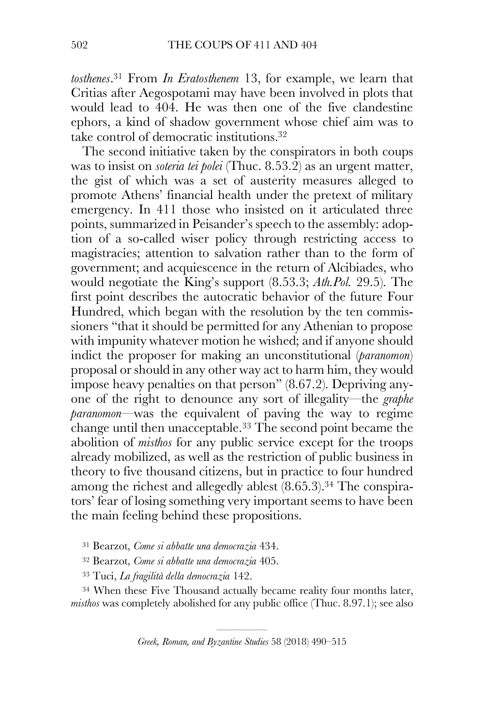*tosthenes*. <sup>31</sup> From *In Eratosthenem* 13, for example, we learn that Critias after Aegospotami may have been involved in plots that would lead to 404. He was then one of the five clandestine ephors, a kind of shadow government whose chief aim was to take control of democratic institutions.32

The second initiative taken by the conspirators in both coups was to insist on *soteria tei polei* (Thuc. 8.53.2) as an urgent matter, the gist of which was a set of austerity measures alleged to promote Athens' financial health under the pretext of military emergency. In 411 those who insisted on it articulated three points, summarized in Peisander's speech to the assembly: adoption of a so-called wiser policy through restricting access to magistracies; attention to salvation rather than to the form of government; and acquiescence in the return of Alcibiades, who would negotiate the King's support (8.53.3; *Ath.Pol.* 29.5). The first point describes the autocratic behavior of the future Four Hundred, which began with the resolution by the ten commissioners "that it should be permitted for any Athenian to propose with impunity whatever motion he wished; and if anyone should indict the proposer for making an unconstitutional (*paranomon*) proposal or should in any other way act to harm him, they would impose heavy penalties on that person" (8.67.2). Depriving anyone of the right to denounce any sort of illegality—the *graphe paranomon*—was the equivalent of paving the way to regime change until then unacceptable.33 The second point became the abolition of *misthos* for any public service except for the troops already mobilized, as well as the restriction of public business in theory to five thousand citizens, but in practice to four hundred among the richest and allegedly ablest (8.65.3).<sup>34</sup> The conspirators' fear of losing something very important seems to have been the main feeling behind these propositions.

<sup>31</sup> Bearzot, *Come si abbatte una democrazia* 434.

<sup>32</sup> Bearzot, *Come si abbatte una democrazia* 405.

<sup>33</sup> Tuci, *La fragilità della democrazia* 142.

<sup>34</sup> When these Five Thousand actually became reality four months later, *misthos* was completely abolished for any public office (Thuc. 8.97.1); see also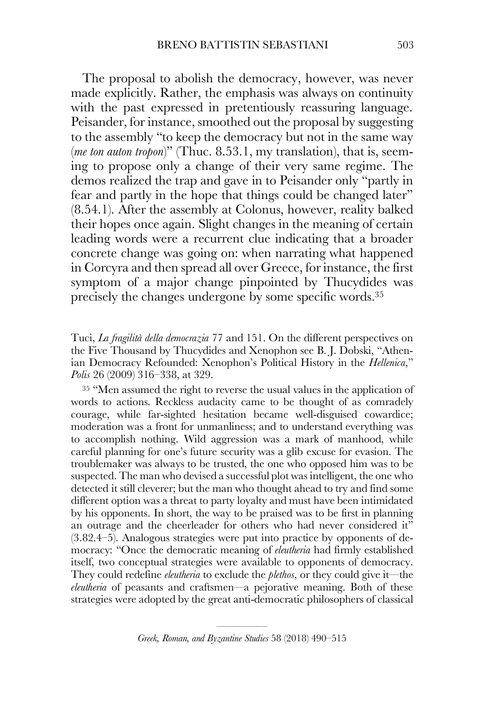The proposal to abolish the democracy, however, was never made explicitly. Rather, the emphasis was always on continuity with the past expressed in pretentiously reassuring language. Peisander, for instance, smoothed out the proposal by suggesting to the assembly "to keep the democracy but not in the same way (*me ton auton tropon*)" (Thuc. 8.53.1, my translation), that is, seeming to propose only a change of their very same regime. The demos realized the trap and gave in to Peisander only "partly in fear and partly in the hope that things could be changed later" (8.54.1). After the assembly at Colonus, however, reality balked their hopes once again. Slight changes in the meaning of certain leading words were a recurrent clue indicating that a broader concrete change was going on: when narrating what happened in Corcyra and then spread all over Greece, for instance, the first symptom of a major change pinpointed by Thucydides was precisely the changes undergone by some specific words.35

Tuci, *La fragilità della democrazia* 77 and 151. On the different perspectives on the Five Thousand by Thucydides and Xenophon see B. J. Dobski, "Athenian Democracy Refounded: Xenophon's Political History in the *Hellenica*," *Polis* 26 (2009) 316–338, at 329.

<sup>35</sup> "Men assumed the right to reverse the usual values in the application of words to actions. Reckless audacity came to be thought of as comradely courage, while far-sighted hesitation became well-disguised cowardice; moderation was a front for unmanliness; and to understand everything was to accomplish nothing. Wild aggression was a mark of manhood, while careful planning for one's future security was a glib excuse for evasion. The troublemaker was always to be trusted, the one who opposed him was to be suspected. The man who devised a successful plot was intelligent, the one who detected it still cleverer; but the man who thought ahead to try and find some different option was a threat to party loyalty and must have been intimidated by his opponents. In short, the way to be praised was to be first in planning an outrage and the cheerleader for others who had never considered it" (3.82.4–5). Analogous strategies were put into practice by opponents of democracy: "Once the democratic meaning of *eleutheria* had firmly established itself, two conceptual strategies were available to opponents of democracy. They could redefine *eleutheria* to exclude the *plethos*, or they could give it—the *eleutheria* of peasants and craftsmen—a pejorative meaning. Both of these strategies were adopted by the great anti-democratic philosophers of classical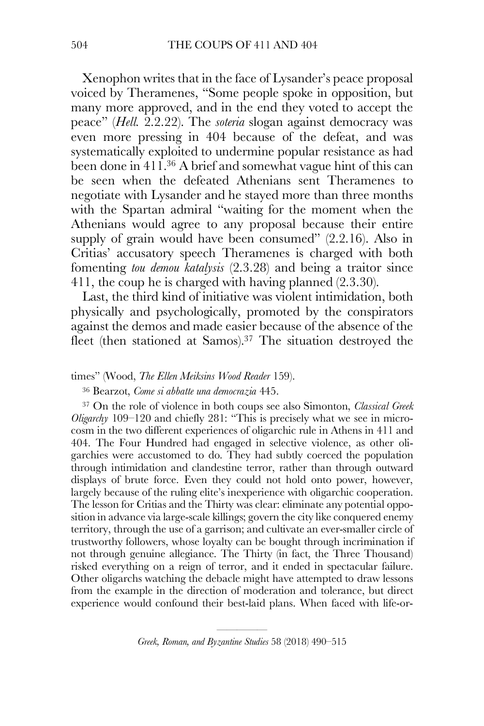Xenophon writes that in the face of Lysander's peace proposal voiced by Theramenes, "Some people spoke in opposition, but many more approved, and in the end they voted to accept the peace" (*Hell.* 2.2.22). The *soteria* slogan against democracy was even more pressing in 404 because of the defeat, and was systematically exploited to undermine popular resistance as had been done in 411.36 A brief and somewhat vague hint of this can be seen when the defeated Athenians sent Theramenes to negotiate with Lysander and he stayed more than three months with the Spartan admiral "waiting for the moment when the Athenians would agree to any proposal because their entire supply of grain would have been consumed" (2.2.16). Also in Critias' accusatory speech Theramenes is charged with both fomenting *tou demou katalysis* (2.3.28) and being a traitor since 411, the coup he is charged with having planned (2.3.30).

Last, the third kind of initiative was violent intimidation, both physically and psychologically, promoted by the conspirators against the demos and made easier because of the absence of the fleet (then stationed at Samos).<sup>37</sup> The situation destroyed the

### times" (Wood, *The Ellen Meiksins Wood Reader* 159).

<sup>36</sup> Bearzot, *Come si abbatte una democrazia* 445.

<sup>37</sup> On the role of violence in both coups see also Simonton, *Classical Greek Oligarchy* 109–120 and chiefly 281: "This is precisely what we see in microcosm in the two different experiences of oligarchic rule in Athens in 411 and 404. The Four Hundred had engaged in selective violence, as other oligarchies were accustomed to do. They had subtly coerced the population through intimidation and clandestine terror, rather than through outward displays of brute force. Even they could not hold onto power, however, largely because of the ruling elite's inexperience with oligarchic cooperation. The lesson for Critias and the Thirty was clear: eliminate any potential opposition in advance via large-scale killings; govern the city like conquered enemy territory, through the use of a garrison; and cultivate an ever-smaller circle of trustworthy followers, whose loyalty can be bought through incrimination if not through genuine allegiance. The Thirty (in fact, the Three Thousand) risked everything on a reign of terror, and it ended in spectacular failure. Other oligarchs watching the debacle might have attempted to draw lessons from the example in the direction of moderation and tolerance, but direct experience would confound their best-laid plans. When faced with life-or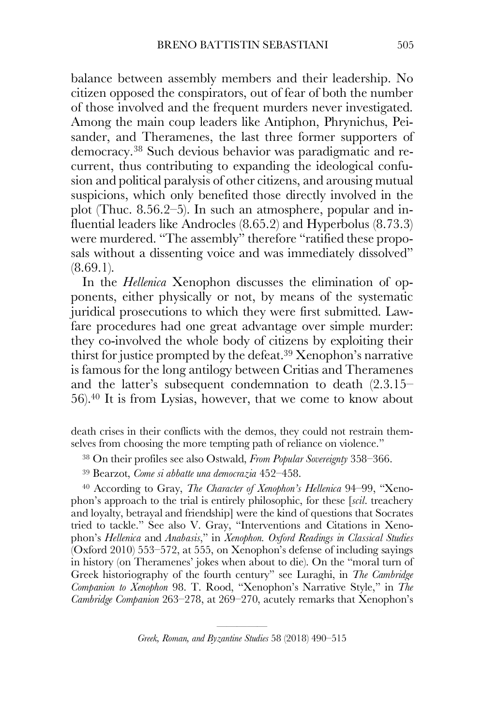balance between assembly members and their leadership. No citizen opposed the conspirators, out of fear of both the number of those involved and the frequent murders never investigated. Among the main coup leaders like Antiphon, Phrynichus, Peisander, and Theramenes, the last three former supporters of democracy.38 Such devious behavior was paradigmatic and recurrent, thus contributing to expanding the ideological confusion and political paralysis of other citizens, and arousing mutual suspicions, which only benefited those directly involved in the plot (Thuc. 8.56.2–5). In such an atmosphere, popular and influential leaders like Androcles (8.65.2) and Hyperbolus (8.73.3) were murdered. "The assembly" therefore "ratified these proposals without a dissenting voice and was immediately dissolved"  $(8.69.1)$ .

In the *Hellenica* Xenophon discusses the elimination of opponents, either physically or not, by means of the systematic juridical prosecutions to which they were first submitted. Lawfare procedures had one great advantage over simple murder: they co-involved the whole body of citizens by exploiting their thirst for justice prompted by the defeat.39 Xenophon's narrative is famous for the long antilogy between Critias and Theramenes and the latter's subsequent condemnation to death (2.3.15– 56).40 It is from Lysias, however, that we come to know about

death crises in their conflicts with the demos, they could not restrain themselves from choosing the more tempting path of reliance on violence."

- <sup>38</sup> On their profiles see also Ostwald, *From Popular Sovereignty* 358–366.
- <sup>39</sup> Bearzot, *Come si abbatte una democrazia* 452–458.

<sup>40</sup> According to Gray, *The Character of Xenophon's Hellenica* 94–99, "Xenophon's approach to the trial is entirely philosophic, for these [*scil*. treachery and loyalty, betrayal and friendship] were the kind of questions that Socrates tried to tackle." See also V. Gray, "Interventions and Citations in Xenophon's *Hellenica* and *Anabasis*," in *Xenophon. Oxford Readings in Classical Studies* (Oxford 2010) 553–572, at 555, on Xenophon's defense of including sayings in history (on Theramenes' jokes when about to die). On the "moral turn of Greek historiography of the fourth century" see Luraghi, in *The Cambridge Companion to Xenophon* 98. T. Rood, "Xenophon's Narrative Style," in *The Cambridge Companion* 263–278, at 269–270, acutely remarks that Xenophon's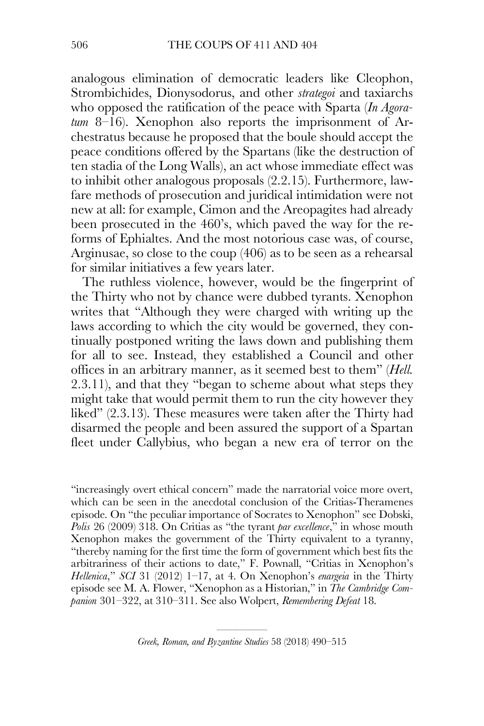analogous elimination of democratic leaders like Cleophon, Strombichides, Dionysodorus, and other *strategoi* and taxiarchs who opposed the ratification of the peace with Sparta (*In Agoratum* 8–16). Xenophon also reports the imprisonment of Archestratus because he proposed that the boule should accept the peace conditions offered by the Spartans (like the destruction of ten stadia of the Long Walls), an act whose immediate effect was to inhibit other analogous proposals (2.2.15). Furthermore, lawfare methods of prosecution and juridical intimidation were not new at all: for example, Cimon and the Areopagites had already been prosecuted in the 460's, which paved the way for the reforms of Ephialtes. And the most notorious case was, of course, Arginusae, so close to the coup (406) as to be seen as a rehearsal for similar initiatives a few years later.

The ruthless violence, however, would be the fingerprint of the Thirty who not by chance were dubbed tyrants. Xenophon writes that "Although they were charged with writing up the laws according to which the city would be governed, they continually postponed writing the laws down and publishing them for all to see. Instead, they established a Council and other offices in an arbitrary manner, as it seemed best to them" (*Hell.* 2.3.11), and that they "began to scheme about what steps they might take that would permit them to run the city however they liked" (2.3.13). These measures were taken after the Thirty had disarmed the people and been assured the support of a Spartan fleet under Callybius, who began a new era of terror on the

"increasingly overt ethical concern" made the narratorial voice more overt, which can be seen in the anecdotal conclusion of the Critias-Theramenes episode. On "the peculiar importance of Socrates to Xenophon" see Dobski, *Polis* 26 (2009) 318. On Critias as "the tyrant *par excellence*," in whose mouth Xenophon makes the government of the Thirty equivalent to a tyranny, "thereby naming for the first time the form of government which best fits the arbitrariness of their actions to date," F. Pownall, "Critias in Xenophon's *Hellenica*," *SCI* 31 (2012) 1–17, at 4. On Xenophon's *enargeia* in the Thirty episode see M. A. Flower, "Xenophon as a Historian," in *The Cambridge Companion* 301–322, at 310–311. See also Wolpert, *Remembering Defeat* 18.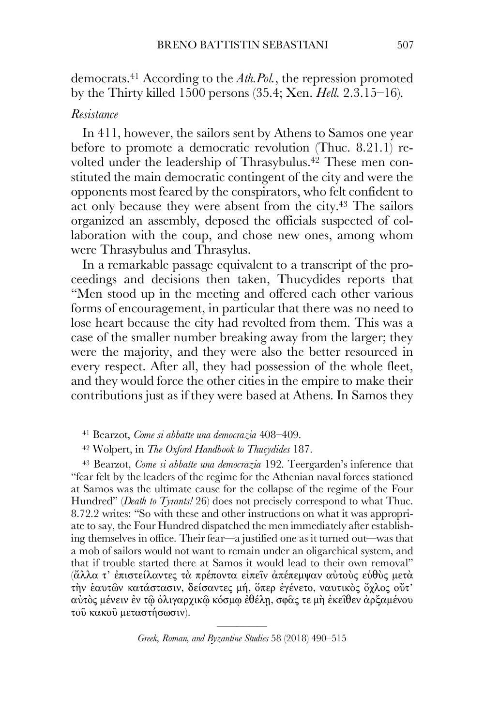democrats.41 According to the *Ath.Pol.*, the repression promoted by the Thirty killed 1500 persons (35.4; Xen. *Hell.* 2.3.15–16).

# *Resistance*

In 411, however, the sailors sent by Athens to Samos one year before to promote a democratic revolution (Thuc. 8.21.1) revolted under the leadership of Thrasybulus. <sup>42</sup> These men constituted the main democratic contingent of the city and were the opponents most feared by the conspirators, who felt confident to act only because they were absent from the city.43 The sailors organized an assembly, deposed the officials suspected of collaboration with the coup, and chose new ones, among whom were Thrasybulus and Thrasylus.

In a remarkable passage equivalent to a transcript of the proceedings and decisions then taken, Thucydides reports that "Men stood up in the meeting and offered each other various forms of encouragement, in particular that there was no need to lose heart because the city had revolted from them. This was a case of the smaller number breaking away from the larger; they were the majority, and they were also the better resourced in every respect. After all, they had possession of the whole fleet, and they would force the other cities in the empire to make their contributions just as if they were based at Athens. In Samos they

<sup>41</sup> Bearzot, *Come si abbatte una democrazia* 408–409.

<sup>42</sup> Wolpert, in *The Oxford Handbook to Thucydides* 187.

<sup>43</sup> Bearzot, *Come si abbatte una democrazia* 192. Teergarden's inference that "fear felt by the leaders of the regime for the Athenian naval forces stationed at Samos was the ultimate cause for the collapse of the regime of the Four Hundred" (*Death to Tyrants!* 26) does not precisely correspond to what Thuc. 8.72.2 writes: "So with these and other instructions on what it was appropriate to say, the Four Hundred dispatched the men immediately after establishing themselves in office. Their fear—a justified one as it turned out—was that a mob of sailors would not want to remain under an oligarchical system, and that if trouble started there at Samos it would lead to their own removal" (ἄλλα τ' ἐπιστείλαντες τὰ πρέποντα εἰπεῖν ἀπέπεµψαν αὐτοὺς εὐθὺς µετὰ τὴν ἑαυτῶν κατάστασιν, δείσαντες µή, ὅπερ ἐγένετο, ναυτικὸς ὄχλος οὔτ' αὐτὸς µένειν ἐν τῷ ὀλιγαρχικῷ κόσµῳ ἐθέλῃ, σφᾶς τε µὴ ἐκεῖθεν ἀρξαµένου τοῦ κακοῦ µεταστήσωσιν).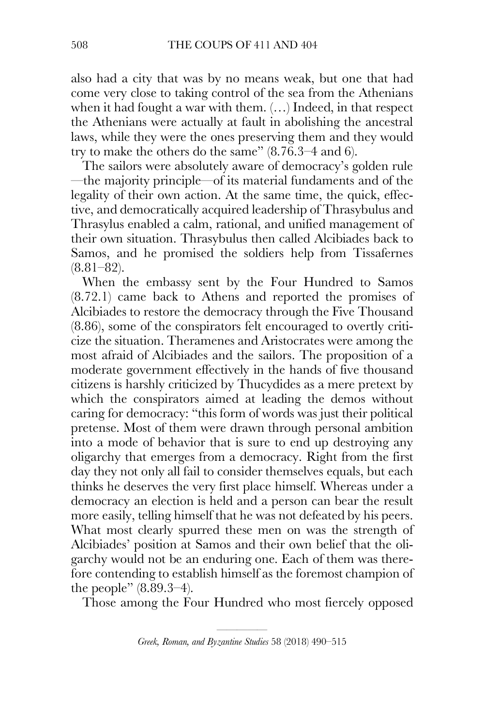also had a city that was by no means weak, but one that had come very close to taking control of the sea from the Athenians when it had fought a war with them. (…) Indeed, in that respect the Athenians were actually at fault in abolishing the ancestral laws, while they were the ones preserving them and they would try to make the others do the same" (8.76.3–4 and 6).

The sailors were absolutely aware of democracy's golden rule —the majority principle—of its material fundaments and of the legality of their own action. At the same time, the quick, effective, and democratically acquired leadership of Thrasybulus and Thrasylus enabled a calm, rational, and unified management of their own situation. Thrasybulus then called Alcibiades back to Samos, and he promised the soldiers help from Tissafernes  $(8.81-82)$ .

When the embassy sent by the Four Hundred to Samos (8.72.1) came back to Athens and reported the promises of Alcibiades to restore the democracy through the Five Thousand (8.86), some of the conspirators felt encouraged to overtly criticize the situation. Theramenes and Aristocrates were among the most afraid of Alcibiades and the sailors. The proposition of a moderate government effectively in the hands of five thousand citizens is harshly criticized by Thucydides as a mere pretext by which the conspirators aimed at leading the demos without caring for democracy: "this form of words was just their political pretense. Most of them were drawn through personal ambition into a mode of behavior that is sure to end up destroying any oligarchy that emerges from a democracy. Right from the first day they not only all fail to consider themselves equals, but each thinks he deserves the very first place himself. Whereas under a democracy an election is held and a person can bear the result more easily, telling himself that he was not defeated by his peers. What most clearly spurred these men on was the strength of Alcibiades' position at Samos and their own belief that the oligarchy would not be an enduring one. Each of them was therefore contending to establish himself as the foremost champion of the people" (8.89.3–4).

Those among the Four Hundred who most fiercely opposed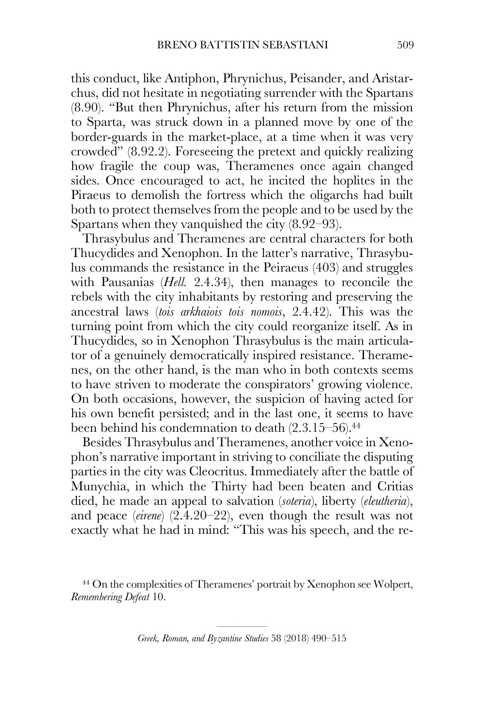this conduct, like Antiphon, Phrynichus, Peisander, and Aristarchus, did not hesitate in negotiating surrender with the Spartans (8.90). "But then Phrynichus, after his return from the mission to Sparta, was struck down in a planned move by one of the border-guards in the market-place, at a time when it was very crowded" (8.92.2). Foreseeing the pretext and quickly realizing how fragile the coup was, Theramenes once again changed sides. Once encouraged to act, he incited the hoplites in the Piraeus to demolish the fortress which the oligarchs had built both to protect themselves from the people and to be used by the Spartans when they vanquished the city (8.92–93).

Thrasybulus and Theramenes are central characters for both Thucydides and Xenophon. In the latter's narrative, Thrasybulus commands the resistance in the Peiraeus (403) and struggles with Pausanias (*Hell.* 2.4.34), then manages to reconcile the rebels with the city inhabitants by restoring and preserving the ancestral laws (*tois arkhaiois tois nomois*, 2.4.42). This was the turning point from which the city could reorganize itself. As in Thucydides, so in Xenophon Thrasybulus is the main articulator of a genuinely democratically inspired resistance. Theramenes, on the other hand, is the man who in both contexts seems to have striven to moderate the conspirators' growing violence. On both occasions, however, the suspicion of having acted for his own benefit persisted; and in the last one, it seems to have been behind his condemnation to death (2.3.15–56).<sup>44</sup>

Besides Thrasybulus and Theramenes, another voice in Xenophon's narrative important in striving to conciliate the disputing parties in the city was Cleocritus. Immediately after the battle of Munychia, in which the Thirty had been beaten and Critias died, he made an appeal to salvation (*soteria*), liberty (*eleutheria*), and peace (*eirene*) (2.4.20–22), even though the result was not exactly what he had in mind: "This was his speech, and the re-

<sup>44</sup> On the complexities of Theramenes' portrait by Xenophon see Wolpert, *Remembering Defeat* 10.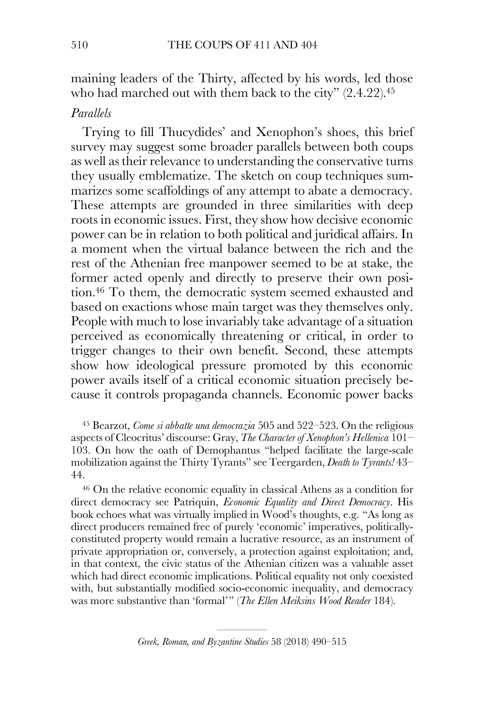maining leaders of the Thirty, affected by his words, led those who had marched out with them back to the city" (2.4.22).<sup>45</sup>

## *Parallels*

Trying to fill Thucydides' and Xenophon's shoes, this brief survey may suggest some broader parallels between both coups as well as their relevance to understanding the conservative turns they usually emblematize. The sketch on coup techniques summarizes some scaffoldings of any attempt to abate a democracy. These attempts are grounded in three similarities with deep roots in economic issues. First, they show how decisive economic power can be in relation to both political and juridical affairs. In a moment when the virtual balance between the rich and the rest of the Athenian free manpower seemed to be at stake, the former acted openly and directly to preserve their own position.46 To them, the democratic system seemed exhausted and based on exactions whose main target was they themselves only. People with much to lose invariably take advantage of a situation perceived as economically threatening or critical, in order to trigger changes to their own benefit. Second, these attempts show how ideological pressure promoted by this economic power avails itself of a critical economic situation precisely because it controls propaganda channels. Economic power backs

<sup>45</sup> Bearzot, *Come si abbatte una democrazia* 505 and 522–523. On the religious aspects of Cleocritus' discourse: Gray, *The Character of Xenophon's Hellenica* 101– 103. On how the oath of Demophantus "helped facilitate the large-scale mobilization against the Thirty Tyrants" see Teergarden, *Death to Tyrants!* 43– 44.

<sup>46</sup> On the relative economic equality in classical Athens as a condition for direct democracy see Patriquin, *Economic Equality and Direct Democracy*. His book echoes what was virtually implied in Wood's thoughts, e.g. "As long as direct producers remained free of purely 'economic' imperatives, politicallyconstituted property would remain a lucrative resource, as an instrument of private appropriation or, conversely, a protection against exploitation; and, in that context, the civic status of the Athenian citizen was a valuable asset which had direct economic implications. Political equality not only coexisted with, but substantially modified socio-economic inequality, and democracy was more substantive than 'formal'" (*The Ellen Meiksins Wood Reader* 184).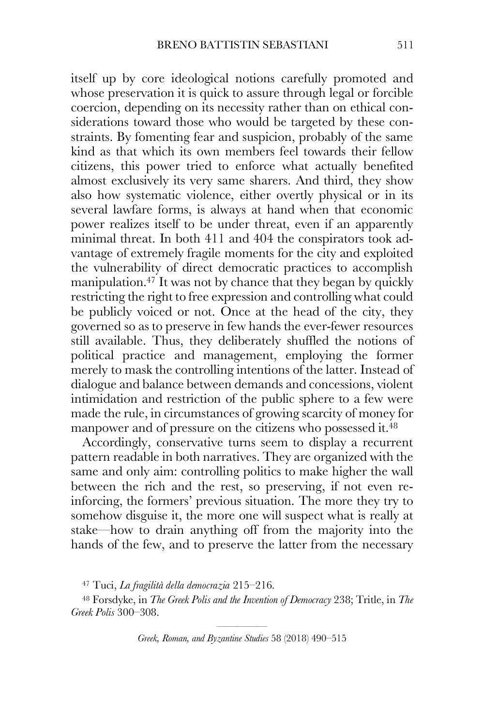itself up by core ideological notions carefully promoted and whose preservation it is quick to assure through legal or forcible coercion, depending on its necessity rather than on ethical considerations toward those who would be targeted by these constraints. By fomenting fear and suspicion, probably of the same kind as that which its own members feel towards their fellow citizens, this power tried to enforce what actually benefited almost exclusively its very same sharers. And third, they show also how systematic violence, either overtly physical or in its several lawfare forms, is always at hand when that economic power realizes itself to be under threat, even if an apparently minimal threat. In both 411 and 404 the conspirators took advantage of extremely fragile moments for the city and exploited the vulnerability of direct democratic practices to accomplish manipulation.<sup>47</sup> It was not by chance that they began by quickly restricting the right to free expression and controlling what could be publicly voiced or not. Once at the head of the city, they governed so as to preserve in few hands the ever-fewer resources still available. Thus, they deliberately shuffled the notions of political practice and management, employing the former merely to mask the controlling intentions of the latter. Instead of dialogue and balance between demands and concessions, violent intimidation and restriction of the public sphere to a few were made the rule, in circumstances of growing scarcity of money for manpower and of pressure on the citizens who possessed it.<sup>48</sup>

Accordingly, conservative turns seem to display a recurrent pattern readable in both narratives. They are organized with the same and only aim: controlling politics to make higher the wall between the rich and the rest, so preserving, if not even reinforcing, the formers' previous situation. The more they try to somehow disguise it, the more one will suspect what is really at stake—how to drain anything off from the majority into the hands of the few, and to preserve the latter from the necessary

<sup>47</sup> Tuci, *La fragilità della democrazia* 215–216.

<sup>48</sup> Forsdyke, in *The Greek Polis and the Invention of Democracy* 238; Tritle, in *The Greek Polis* 300–308.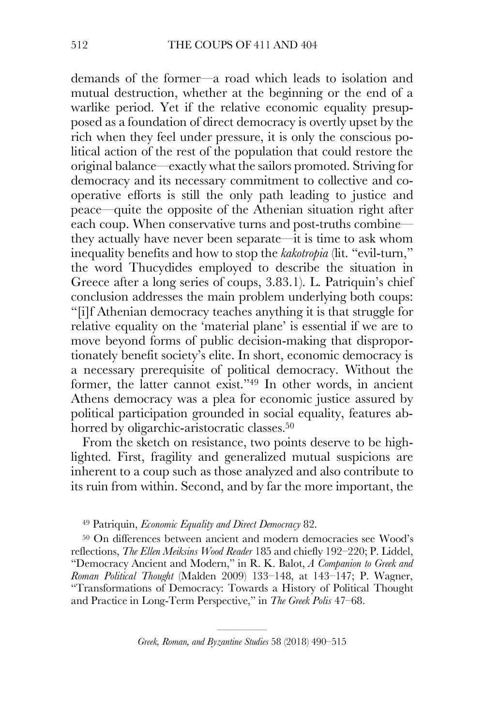demands of the former—a road which leads to isolation and mutual destruction, whether at the beginning or the end of a warlike period. Yet if the relative economic equality presupposed as a foundation of direct democracy is overtly upset by the rich when they feel under pressure, it is only the conscious political action of the rest of the population that could restore the original balance—exactly what the sailors promoted. Striving for democracy and its necessary commitment to collective and cooperative efforts is still the only path leading to justice and peace—quite the opposite of the Athenian situation right after each coup. When conservative turns and post-truths combine they actually have never been separate—it is time to ask whom inequality benefits and how to stop the *kakotropia* (lit. "evil-turn," the word Thucydides employed to describe the situation in Greece after a long series of coups, 3.83.1). L. Patriquin's chief conclusion addresses the main problem underlying both coups: "[i]f Athenian democracy teaches anything it is that struggle for relative equality on the 'material plane' is essential if we are to move beyond forms of public decision-making that disproportionately benefit society's elite. In short, economic democracy is a necessary prerequisite of political democracy. Without the former, the latter cannot exist."49 In other words, in ancient Athens democracy was a plea for economic justice assured by political participation grounded in social equality, features abhorred by oligarchic-aristocratic classes.<sup>50</sup>

From the sketch on resistance, two points deserve to be highlighted. First, fragility and generalized mutual suspicions are inherent to a coup such as those analyzed and also contribute to its ruin from within. Second, and by far the more important, the

#### <sup>49</sup> Patriquin, *Economic Equality and Direct Democracy* 82.

<sup>50</sup> On differences between ancient and modern democracies see Wood's reflections, *The Ellen Meiksins Wood Reader* 185 and chiefly 192–220; P. Liddel, "Democracy Ancient and Modern," in R. K. Balot, *A Companion to Greek and Roman Political Thought* (Malden 2009) 133–148, at 143–147; P. Wagner, "Transformations of Democracy: Towards a History of Political Thought and Practice in Long-Term Perspective," in *The Greek Polis* 47–68.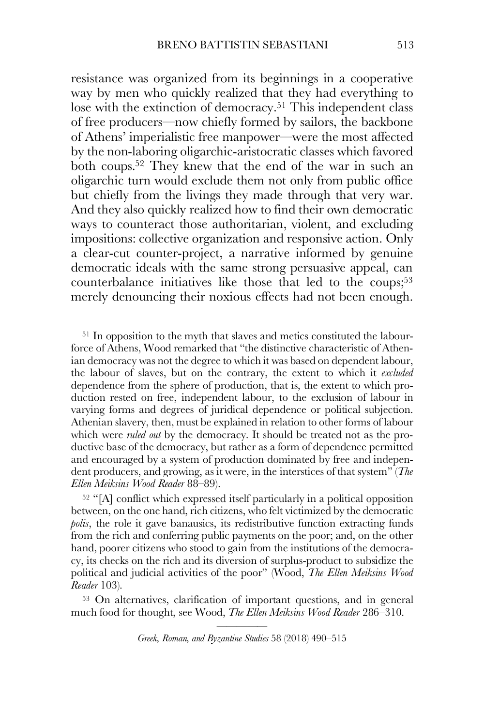resistance was organized from its beginnings in a cooperative way by men who quickly realized that they had everything to lose with the extinction of democracy.<sup>51</sup> This independent class of free producers—now chiefly formed by sailors, the backbone of Athens' imperialistic free manpower—were the most affected by the non-laboring oligarchic-aristocratic classes which favored both coups.52 They knew that the end of the war in such an oligarchic turn would exclude them not only from public office but chiefly from the livings they made through that very war. And they also quickly realized how to find their own democratic ways to counteract those authoritarian, violent, and excluding impositions: collective organization and responsive action. Only a clear-cut counter-project, a narrative informed by genuine democratic ideals with the same strong persuasive appeal, can counterbalance initiatives like those that led to the coups; $53$ merely denouncing their noxious effects had not been enough.

<sup>51</sup> In opposition to the myth that slaves and metics constituted the labourforce of Athens, Wood remarked that "the distinctive characteristic of Athenian democracy was not the degree to which it was based on dependent labour, the labour of slaves, but on the contrary, the extent to which it *excluded* dependence from the sphere of production, that is, the extent to which production rested on free, independent labour, to the exclusion of labour in varying forms and degrees of juridical dependence or political subjection. Athenian slavery, then, must be explained in relation to other forms of labour which were *ruled out* by the democracy. It should be treated not as the productive base of the democracy, but rather as a form of dependence permitted and encouraged by a system of production dominated by free and independent producers, and growing, as it were, in the interstices of that system" (*The Ellen Meiksins Wood Reader* 88–89).

<sup>52</sup> "[A] conflict which expressed itself particularly in a political opposition between, on the one hand, rich citizens, who felt victimized by the democratic *polis*, the role it gave banausics, its redistributive function extracting funds from the rich and conferring public payments on the poor; and, on the other hand, poorer citizens who stood to gain from the institutions of the democracy, its checks on the rich and its diversion of surplus-product to subsidize the political and judicial activities of the poor" (Wood, *The Ellen Meiksins Wood Reader* 103).

<sup>53</sup> On alternatives, clarification of important questions, and in general much food for thought, see Wood, *The Ellen Meiksins Wood Reader* 286–310.

<sup>—————</sup> *Greek, Roman, and Byzantine Studies* 58 (2018) 490–515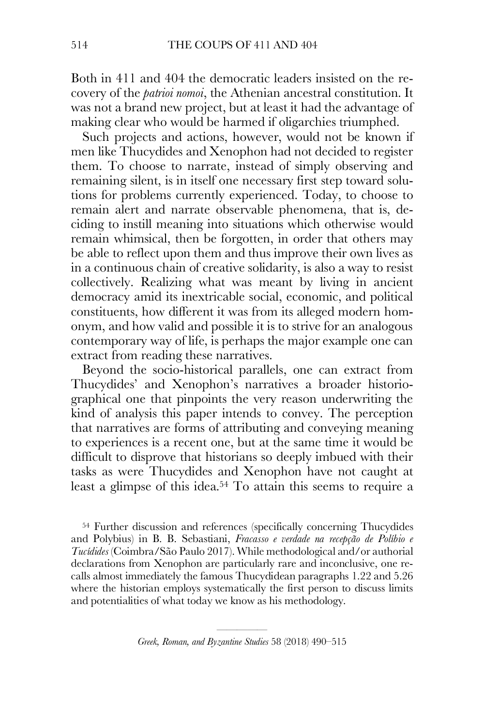Both in 411 and 404 the democratic leaders insisted on the recovery of the *patrioi nomoi*, the Athenian ancestral constitution. It was not a brand new project, but at least it had the advantage of making clear who would be harmed if oligarchies triumphed.

Such projects and actions, however, would not be known if men like Thucydides and Xenophon had not decided to register them. To choose to narrate, instead of simply observing and remaining silent, is in itself one necessary first step toward solutions for problems currently experienced. Today, to choose to remain alert and narrate observable phenomena, that is, deciding to instill meaning into situations which otherwise would remain whimsical, then be forgotten, in order that others may be able to reflect upon them and thus improve their own lives as in a continuous chain of creative solidarity, is also a way to resist collectively. Realizing what was meant by living in ancient democracy amid its inextricable social, economic, and political constituents, how different it was from its alleged modern homonym, and how valid and possible it is to strive for an analogous contemporary way of life, is perhaps the major example one can extract from reading these narratives.

Beyond the socio-historical parallels, one can extract from Thucydides' and Xenophon's narratives a broader historiographical one that pinpoints the very reason underwriting the kind of analysis this paper intends to convey. The perception that narratives are forms of attributing and conveying meaning to experiences is a recent one, but at the same time it would be difficult to disprove that historians so deeply imbued with their tasks as were Thucydides and Xenophon have not caught at least a glimpse of this idea.54 To attain this seems to require a

<sup>54</sup> Further discussion and references (specifically concerning Thucydides and Polybius) in B. B. Sebastiani, *Fracasso e verdade na recepção de Políbio e Tucídides* (Coimbra/São Paulo 2017). While methodological and/or authorial declarations from Xenophon are particularly rare and inconclusive, one recalls almost immediately the famous Thucydidean paragraphs 1.22 and 5.26 where the historian employs systematically the first person to discuss limits and potentialities of what today we know as his methodology.